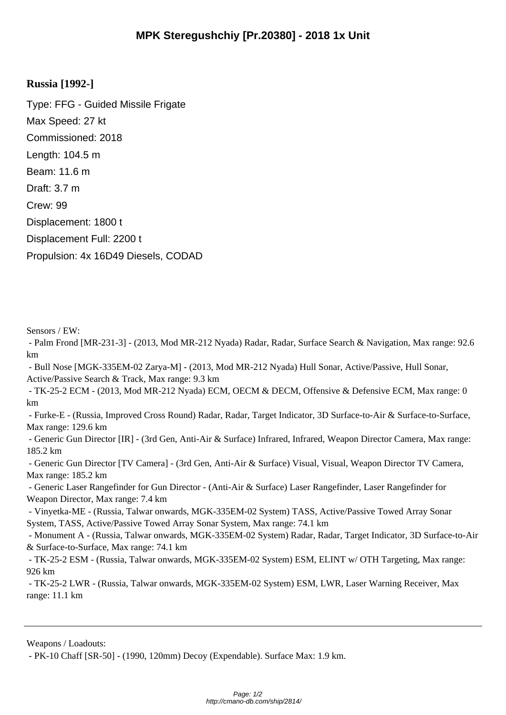## **Russia [1992-]**

Type: FFG - Guided Missile Frigate Max Speed: 27 kt Commissioned: 2018 Length: 104.5 m Beam: 11.6 m Draft: 3.7 m Crew: 99 Displacement: 1800 t Displacement Full: 2200 t Propulsion: 4x 16D49 Diesels, CODAD

Sensors / EW:

 - Palm Frond [MR-231-3] - (2013, Mod MR-212 Nyada) Radar, Radar, Surface Search & Navigation, Max range: 92.6 km

 - Bull Nose [MGK-335EM-02 Zarya-M] - (2013, Mod MR-212 Nyada) Hull Sonar, Active/Passive, Hull Sonar, Active/Passive Search & Track, Max range: 9.3 km

 - TK-25-2 ECM - (2013, Mod MR-212 Nyada) ECM, OECM & DECM, Offensive & Defensive ECM, Max range: 0 km

 - Furke-E - (Russia, Improved Cross Round) Radar, Radar, Target Indicator, 3D Surface-to-Air & Surface-to-Surface, Max range: 129.6 km

 - Generic Gun Director [IR] - (3rd Gen, Anti-Air & Surface) Infrared, Infrared, Weapon Director Camera, Max range: 185.2 km

 - Generic Gun Director [TV Camera] - (3rd Gen, Anti-Air & Surface) Visual, Visual, Weapon Director TV Camera, Max range: 185.2 km

 - Generic Laser Rangefinder for Gun Director - (Anti-Air & Surface) Laser Rangefinder, Laser Rangefinder for Weapon Director, Max range: 7.4 km

 - Vinyetka-ME - (Russia, Talwar onwards, MGK-335EM-02 System) TASS, Active/Passive Towed Array Sonar System, TASS, Active/Passive Towed Array Sonar System, Max range: 74.1 km

 - Monument A - (Russia, Talwar onwards, MGK-335EM-02 System) Radar, Radar, Target Indicator, 3D Surface-to-Air & Surface-to-Surface, Max range: 74.1 km

 - TK-25-2 ESM - (Russia, Talwar onwards, MGK-335EM-02 System) ESM, ELINT w/ OTH Targeting, Max range: 926 km

 - TK-25-2 LWR - (Russia, Talwar onwards, MGK-335EM-02 System) ESM, LWR, Laser Warning Receiver, Max range: 11.1 km

Weapons / Loadouts:

- PK-10 Chaff [SR-50] - (1990, 120mm) Decoy (Expendable). Surface Max: 1.9 km.